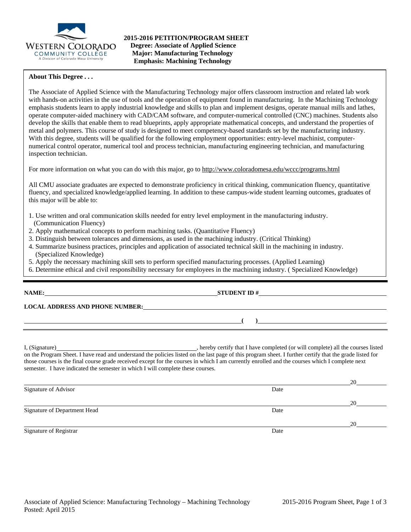

# **About This Degree . . .**

The Associate of Applied Science with the Manufacturing Technology major offers classroom instruction and related lab work with hands-on activities in the use of tools and the operation of equipment found in manufacturing. In the Machining Technology emphasis students learn to apply industrial knowledge and skills to plan and implement designs, operate manual mills and lathes, operate computer-aided machinery with CAD/CAM software, and computer-numerical controlled (CNC) machines. Students also develop the skills that enable them to read blueprints, apply appropriate mathematical concepts, and understand the properties of metal and polymers. This course of study is designed to meet competency-based standards set by the manufacturing industry. With this degree, students will be qualified for the following employment opportunities: entry-level machinist, computernumerical control operator, numerical tool and process technician, manufacturing engineering technician, and manufacturing inspection technician.

For more information on what you can do with this major, go to http://www.coloradomesa.edu/wccc/programs.html

All CMU associate graduates are expected to demonstrate proficiency in critical thinking, communication fluency, quantitative fluency, and specialized knowledge/applied learning. In addition to these campus-wide student learning outcomes, graduates of this major will be able to:

- 1. Use written and oral communication skills needed for entry level employment in the manufacturing industry.
- (Communication Fluency)
- 2. Apply mathematical concepts to perform machining tasks. (Quantitative Fluency)
- 3. Distinguish between tolerances and dimensions, as used in the machining industry. (Critical Thinking)
- 4. Summarize business practices, principles and application of associated technical skill in the machining in industry. (Specialized Knowledge)
- 5. Apply the necessary machining skill sets to perform specified manufacturing processes. (Applied Learning)
- 6. Determine ethical and civil responsibility necessary for employees in the machining industry. ( Specialized Knowledge)

| NAME: |  |
|-------|--|
|-------|--|

**LOCAL ADDRESS AND PHONE NUMBER:**

I, (Signature) , hereby certify that I have completed (or will complete) all the courses listed on the Program Sheet. I have read and understand the policies listed on the last page of this program sheet. I further certify that the grade listed for those courses is the final course grade received except for the courses in which I am currently enrolled and the courses which I complete next semester. I have indicated the semester in which I will complete these courses.

**NAME: STUDENT ID #**

**( )**

|                              |      | 20 |
|------------------------------|------|----|
| Signature of Advisor         | Date |    |
|                              |      | 20 |
| Signature of Department Head | Date |    |
|                              |      | 20 |
| Signature of Registrar       | Date |    |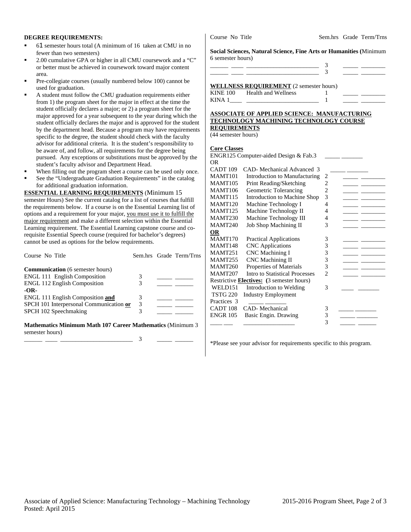### **DEGREE REQUIREMENTS:**

- 61 semester hours total (A minimum of 16 taken at CMU in no fewer than two semesters)
- 2.00 cumulative GPA or higher in all CMU coursework and a "C" or better must be achieved in coursework toward major content area.
- Pre-collegiate courses (usually numbered below 100) cannot be used for graduation.
- A student must follow the CMU graduation requirements either from 1) the program sheet for the major in effect at the time the student officially declares a major; or 2) a program sheet for the major approved for a year subsequent to the year during which the student officially declares the major and is approved for the student by the department head. Because a program may have requirements specific to the degree, the student should check with the faculty advisor for additional criteria. It is the student's responsibility to be aware of, and follow, all requirements for the degree being pursued. Any exceptions or substitutions must be approved by the student's faculty advisor and Department Head.
- When filling out the program sheet a course can be used only once.
- See the "Undergraduate Graduation Requirements" in the catalog for additional graduation information.

**ESSENTIAL LEARNING REQUIREMENTS** (Minimum 15 semester Hours) See the current catalog for a list of courses that fulfill the requirements below. If a course is on the Essential Learning list of options and a requirement for your major, you must use it to fulfill the major requirement and make a different selection within the Essential Learning requirement. The Essential Learning capstone course and corequisite Essential Speech course (required for bachelor's degrees) cannot be used as options for the below requirements.

| Course No Title                                                                                                                                                                                                                                                                                 |   | Sem.hrs Grade Term/Trns |
|-------------------------------------------------------------------------------------------------------------------------------------------------------------------------------------------------------------------------------------------------------------------------------------------------|---|-------------------------|
| <b>Communication</b> (6 semester hours)                                                                                                                                                                                                                                                         |   |                         |
| <b>ENGL 111 English Composition</b>                                                                                                                                                                                                                                                             | 3 |                         |
| <b>ENGL 112 English Composition</b>                                                                                                                                                                                                                                                             | 3 |                         |
| $-OR-$                                                                                                                                                                                                                                                                                          |   |                         |
| <b>ENGL 111 English Composition and</b>                                                                                                                                                                                                                                                         |   |                         |
| SPCH 101 Interpersonal Communication or                                                                                                                                                                                                                                                         | 3 |                         |
| SPCH 102 Speechmaking                                                                                                                                                                                                                                                                           | 3 |                         |
| $\mathbf{M}$ at $\mathbf{M}$ and $\mathbf{M}$ and $\mathbf{M}$ and $\mathbf{M}$ and $\mathbf{M}$ and $\mathbf{M}$ and $\mathbf{M}$ and $\mathbf{M}$ and $\mathbf{M}$ and $\mathbf{M}$ and $\mathbf{M}$ and $\mathbf{M}$ and $\mathbf{M}$ and $\mathbf{M}$ and $\mathbf{M}$ and $\mathbf{M}$ and |   |                         |

#### **Mathematics Minimum Math 107 Career Mathematics** (Minimum 3 semester hours) \_\_\_\_\_\_ \_\_\_\_ \_\_\_\_\_\_\_\_\_\_\_\_\_\_\_\_\_\_\_\_\_\_\_\_ 3 \_\_\_\_\_ \_\_\_\_\_\_

Course No Title Sem.hrs Grade Term/Trns

**Social Sciences, Natural Science, Fine Arts or Humanities (**Minimum 6 semester hours)

| WELL AROO BROUDEMENT O |  |  |
|------------------------|--|--|

|                 | WELLINESS REQUIREMENT (2 semester nours) |  |  |
|-----------------|------------------------------------------|--|--|
| <b>KINE 100</b> | Health and Wellness                      |  |  |
| KINA 1          |                                          |  |  |

# **ASSOCIATE OF APPLIED SCIENCE: MANUFACTURING TECHNOLOGY MACHINING TECHNOLOGY COURSE REQUIREMENTS**

(44 semester hours)

## **Core Classes**

| CAD- Mechanical Advanced 3     |                                                                                                                  |  |
|--------------------------------|------------------------------------------------------------------------------------------------------------------|--|
| Introduction to Manufacturing  | 2                                                                                                                |  |
| Print Reading/Sketching        | $\overline{c}$                                                                                                   |  |
| Geometric Tolerancing          | $\overline{c}$                                                                                                   |  |
| Introduction to Machine Shop   | 3                                                                                                                |  |
| Machine Technology I           | 4                                                                                                                |  |
| Machine Technology II          | 4                                                                                                                |  |
| Machine Technology III         | 4                                                                                                                |  |
| <b>Job Shop Machining II</b>   | 3                                                                                                                |  |
|                                |                                                                                                                  |  |
| <b>Practical Applications</b>  | 3                                                                                                                |  |
| <b>CNC</b> Applications        | 3                                                                                                                |  |
| <b>CNC</b> Machining I         | 3                                                                                                                |  |
| <b>CNC</b> Machining II        | 3                                                                                                                |  |
| Properties of Materials        | 3                                                                                                                |  |
| Intro to Statistical Processes | 2                                                                                                                |  |
|                                |                                                                                                                  |  |
| Introduction to Welding        | 3                                                                                                                |  |
| <b>Industry Employment</b>     |                                                                                                                  |  |
|                                |                                                                                                                  |  |
| CAD-Mechanical                 | 3                                                                                                                |  |
| Basic Engin. Drawing           | 3                                                                                                                |  |
|                                | 3                                                                                                                |  |
|                                | <b>COLO CHANDON</b><br>ENGR125 Computer-aided Design & Fab.3<br>Restrictive <b>Electives:</b> (3 semester hours) |  |

\*Please see your advisor for requirements specific to this program.